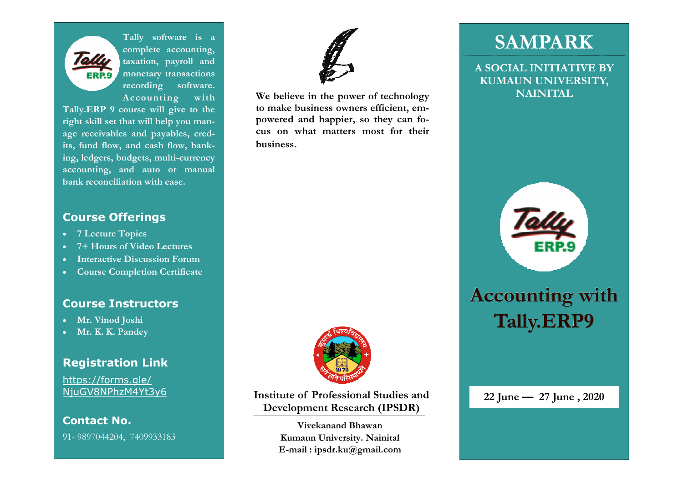

**Tally software is a complete accounting, taxation, payroll and monetary transactions recording software. Accounting with** 

**Tally.ERP 9 course will give to the right skill set that will help you manage receivables and payables, credits, fund flow, and cash flow, banking, ledgers, budgets, multi-currency accounting, and auto or manual bank reconciliation with ease.** 

#### **Course Offerings**

- **7 Lecture Topics**
- **7+ Hours of Video Lectures**
- **Interactive Discussion Forum**
- **Course Completion Certificate**

#### **Course Instructors**

- **Mr. Vinod Joshi**
- **Mr. K. K. Pandey**

#### **Registration Link**

https://forms.gle/NjuGV8NPhzM4Yt3y6

#### **Contact No.**

91- 9897044204, 7409933183



**We believe in the power of technology NAINITAL to make business owners efficient, empowered and happier, so they can focus on what matters most for their business.** 



**Institute of Professional Studies and Development Research (IPSDR)** 

> **Vivekanand Bhawan Kumaun University. Nainital E-mail : ipsdr.ku@gmail.com**

## **SAMPARK**

**A SOCIAL INITIATIVE BY KUMAUN UNIVERSITY,** 



# **Accounting with Tally.ERP9**

#### **22 June — 27 June , 2020**